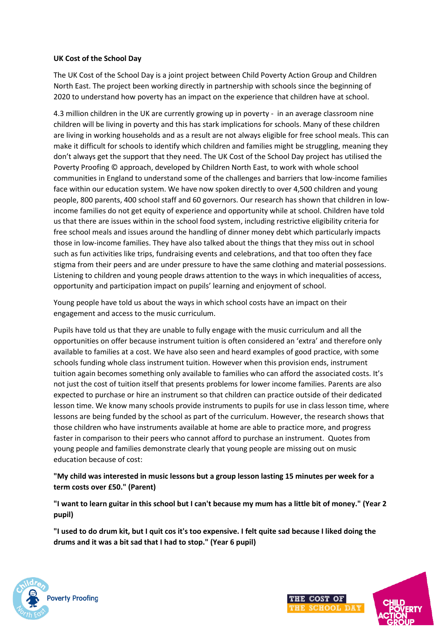## **UK Cost of the School Day**

The UK Cost of the School Day is a joint project between Child Poverty Action Group and Children North East. The project been working directly in partnership with schools since the beginning of 2020 to understand how poverty has an impact on the experience that children have at school.

4.3 million children in the UK are currently growing up in poverty - in an average classroom nine children will be living in poverty and this has stark implications for schools. Many of these children are living in working households and as a result are not always eligible for free school meals. This can make it difficult for schools to identify which children and families might be struggling, meaning they don't always get the support that they need. The UK Cost of the School Day project has utilised the Poverty Proofing © approach, developed by Children North East, to work with whole school communities in England to understand some of the challenges and barriers that low-income families face within our education system. We have now spoken directly to over 4,500 children and young people, 800 parents, 400 school staff and 60 governors. Our research has shown that children in lowincome families do not get equity of experience and opportunity while at school. Children have told us that there are issues within in the school food system, including restrictive eligibility criteria for free school meals and issues around the handling of dinner money debt which particularly impacts those in low-income families. They have also talked about the things that they miss out in school such as fun activities like trips, fundraising events and celebrations, and that too often they face stigma from their peers and are under pressure to have the same clothing and material possessions. Listening to children and young people draws attention to the ways in which inequalities of access, opportunity and participation impact on pupils' learning and enjoyment of school.

Young people have told us about the ways in which school costs have an impact on their engagement and access to the music curriculum.

Pupils have told us that they are unable to fully engage with the music curriculum and all the opportunities on offer because instrument tuition is often considered an 'extra' and therefore only available to families at a cost. We have also seen and heard examples of good practice, with some schools funding whole class instrument tuition. However when this provision ends, instrument tuition again becomes something only available to families who can afford the associated costs. It's not just the cost of tuition itself that presents problems for lower income families. Parents are also expected to purchase or hire an instrument so that children can practice outside of their dedicated lesson time. We know many schools provide instruments to pupils for use in class lesson time, where lessons are being funded by the school as part of the curriculum. However, the research shows that those children who have instruments available at home are able to practice more, and progress faster in comparison to their peers who cannot afford to purchase an instrument. Quotes from young people and families demonstrate clearly that young people are missing out on music education because of cost:

## **"My child was interested in music lessons but a group lesson lasting 15 minutes per week for a term costs over £50." (Parent)**

**"I want to learn guitar in this school but I can't because my mum has a little bit of money." (Year 2 pupil)**

**"I used to do drum kit, but I quit cos it's too expensive. I felt quite sad because I liked doing the drums and it was a bit sad that I had to stop." (Year 6 pupil)**